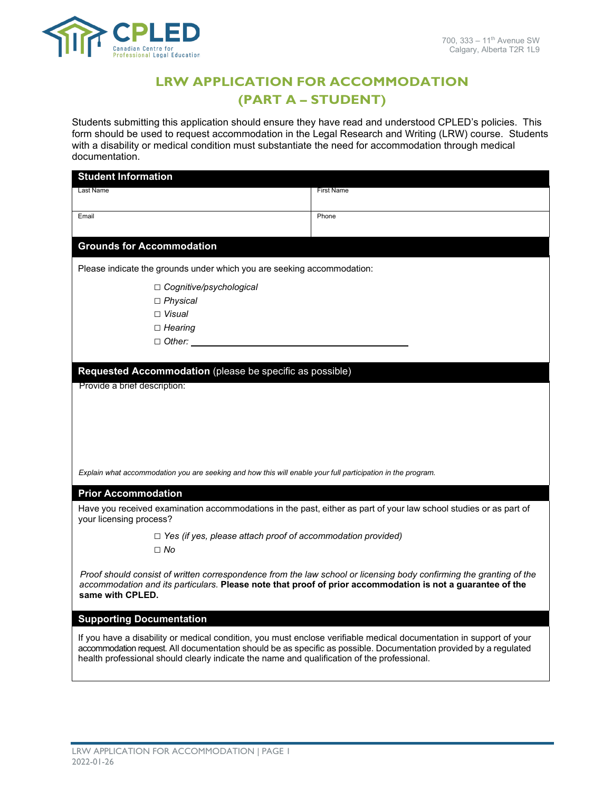

# **LRW APPLICATION FOR ACCOMMODATION (PART A – STUDENT)**

Students submitting this application should ensure they have read and understood CPLED's policies. This form should be used to request accommodation in the Legal Research and Writing (LRW) course. Students with a disability or medical condition must substantiate the need for accommodation through medical documentation.

| <b>Student Information</b>                                                                                                                                                                                                                                                                                                              |                   |  |
|-----------------------------------------------------------------------------------------------------------------------------------------------------------------------------------------------------------------------------------------------------------------------------------------------------------------------------------------|-------------------|--|
| Last Name                                                                                                                                                                                                                                                                                                                               | <b>First Name</b> |  |
|                                                                                                                                                                                                                                                                                                                                         |                   |  |
| Email                                                                                                                                                                                                                                                                                                                                   | Phone             |  |
|                                                                                                                                                                                                                                                                                                                                         |                   |  |
| <b>Grounds for Accommodation</b>                                                                                                                                                                                                                                                                                                        |                   |  |
| Please indicate the grounds under which you are seeking accommodation:                                                                                                                                                                                                                                                                  |                   |  |
| $\Box$ Cognitive/psychological                                                                                                                                                                                                                                                                                                          |                   |  |
| $\Box$ Physical                                                                                                                                                                                                                                                                                                                         |                   |  |
| $\Box$ Visual                                                                                                                                                                                                                                                                                                                           |                   |  |
| $\Box$ Hearing                                                                                                                                                                                                                                                                                                                          |                   |  |
| $\Box$ Other:                                                                                                                                                                                                                                                                                                                           |                   |  |
|                                                                                                                                                                                                                                                                                                                                         |                   |  |
| Requested Accommodation (please be specific as possible)                                                                                                                                                                                                                                                                                |                   |  |
| Provide a brief description:                                                                                                                                                                                                                                                                                                            |                   |  |
|                                                                                                                                                                                                                                                                                                                                         |                   |  |
|                                                                                                                                                                                                                                                                                                                                         |                   |  |
|                                                                                                                                                                                                                                                                                                                                         |                   |  |
|                                                                                                                                                                                                                                                                                                                                         |                   |  |
|                                                                                                                                                                                                                                                                                                                                         |                   |  |
|                                                                                                                                                                                                                                                                                                                                         |                   |  |
| Explain what accommodation you are seeking and how this will enable your full participation in the program.                                                                                                                                                                                                                             |                   |  |
| <b>Prior Accommodation</b>                                                                                                                                                                                                                                                                                                              |                   |  |
| Have you received examination accommodations in the past, either as part of your law school studies or as part of<br>your licensing process?                                                                                                                                                                                            |                   |  |
| $\Box$ Yes (if yes, please attach proof of accommodation provided)                                                                                                                                                                                                                                                                      |                   |  |
| $\Box$ No                                                                                                                                                                                                                                                                                                                               |                   |  |
| Proof should consist of written correspondence from the law school or licensing body confirming the granting of the<br>accommodation and its particulars. Please note that proof of prior accommodation is not a guarantee of the<br>same with CPLED.                                                                                   |                   |  |
| <b>Supporting Documentation</b>                                                                                                                                                                                                                                                                                                         |                   |  |
| If you have a disability or medical condition, you must enclose verifiable medical documentation in support of your<br>accommodation request. All documentation should be as specific as possible. Documentation provided by a regulated<br>health professional should clearly indicate the name and qualification of the professional. |                   |  |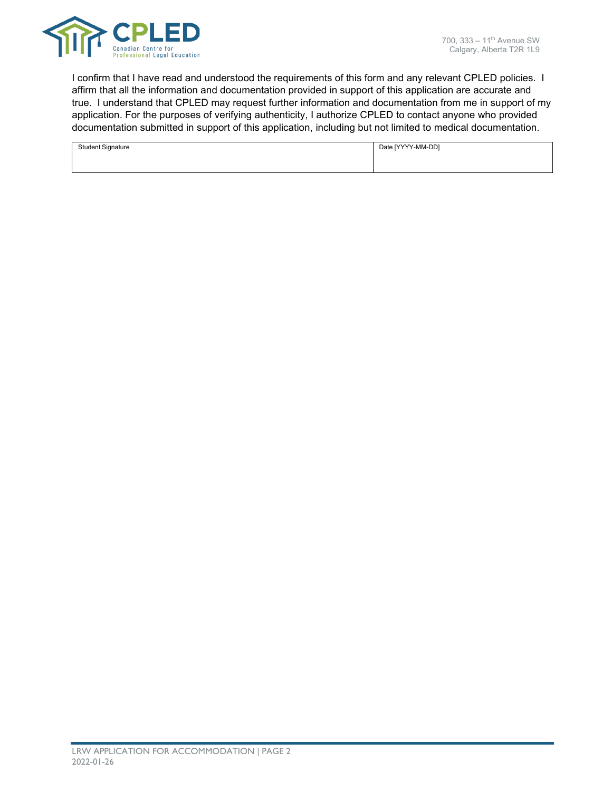

I confirm that I have read and understood the requirements of this form and any relevant CPLED policies. I affirm that all the information and documentation provided in support of this application are accurate and true. I understand that CPLED may request further information and documentation from me in support of my application. For the purposes of verifying authenticity, I authorize CPLED to contact anyone who provided documentation submitted in support of this application, including but not limited to medical documentation.

| <b>Student Signature</b> | Date [YYYY-MM-DD] |
|--------------------------|-------------------|
|                          |                   |
|                          |                   |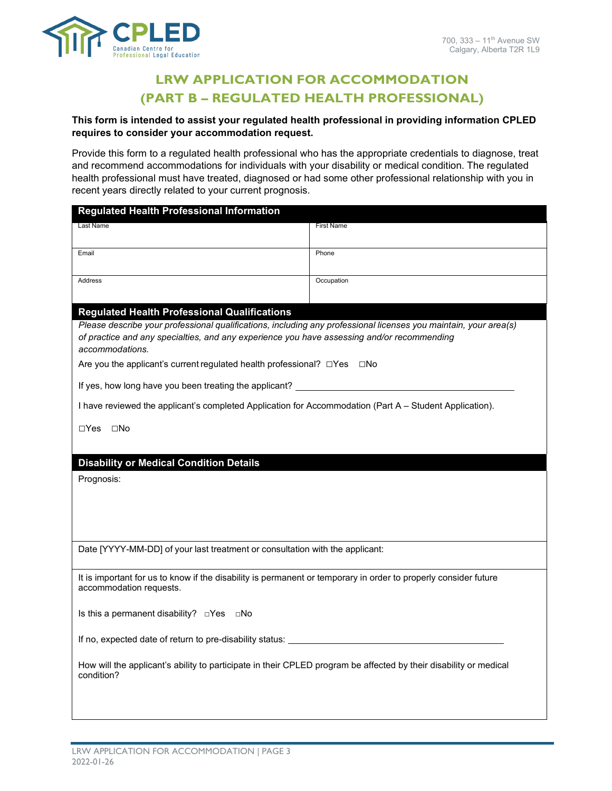

## **LRW APPLICATION FOR ACCOMMODATION (PART B – REGULATED HEALTH PROFESSIONAL)**

## **This form is intended to assist your regulated health professional in providing information CPLED requires to consider your accommodation request.**

Provide this form to a regulated health professional who has the appropriate credentials to diagnose, treat and recommend accommodations for individuals with your disability or medical condition. The regulated health professional must have treated, diagnosed or had some other professional relationship with you in recent years directly related to your current prognosis.

| <b>Regulated Health Professional Information</b>                                                                                           |                   |  |
|--------------------------------------------------------------------------------------------------------------------------------------------|-------------------|--|
| Last Name                                                                                                                                  | <b>First Name</b> |  |
|                                                                                                                                            |                   |  |
| Email                                                                                                                                      | Phone             |  |
| Address                                                                                                                                    | Occupation        |  |
|                                                                                                                                            |                   |  |
| <b>Regulated Health Professional Qualifications</b>                                                                                        |                   |  |
| Please describe your professional qualifications, including any professional licenses you maintain, your area(s)                           |                   |  |
| of practice and any specialties, and any experience you have assessing and/or recommending<br>accommodations.                              |                   |  |
| Are you the applicant's current regulated health professional? □Yes □No                                                                    |                   |  |
| If yes, how long have you been treating the applicant?                                                                                     |                   |  |
| I have reviewed the applicant's completed Application for Accommodation (Part A - Student Application).                                    |                   |  |
| □Yes □No                                                                                                                                   |                   |  |
|                                                                                                                                            |                   |  |
| <b>Disability or Medical Condition Details</b>                                                                                             |                   |  |
| Prognosis:                                                                                                                                 |                   |  |
|                                                                                                                                            |                   |  |
|                                                                                                                                            |                   |  |
|                                                                                                                                            |                   |  |
| Date [YYYY-MM-DD] of your last treatment or consultation with the applicant:                                                               |                   |  |
|                                                                                                                                            |                   |  |
| It is important for us to know if the disability is permanent or temporary in order to properly consider future<br>accommodation requests. |                   |  |
|                                                                                                                                            |                   |  |
| Is this a permanent disability? □Yes □No                                                                                                   |                   |  |
| If no, expected date of return to pre-disability status: _______________________                                                           |                   |  |
| How will the applicant's ability to participate in their CPLED program be affected by their disability or medical<br>condition?            |                   |  |
|                                                                                                                                            |                   |  |
|                                                                                                                                            |                   |  |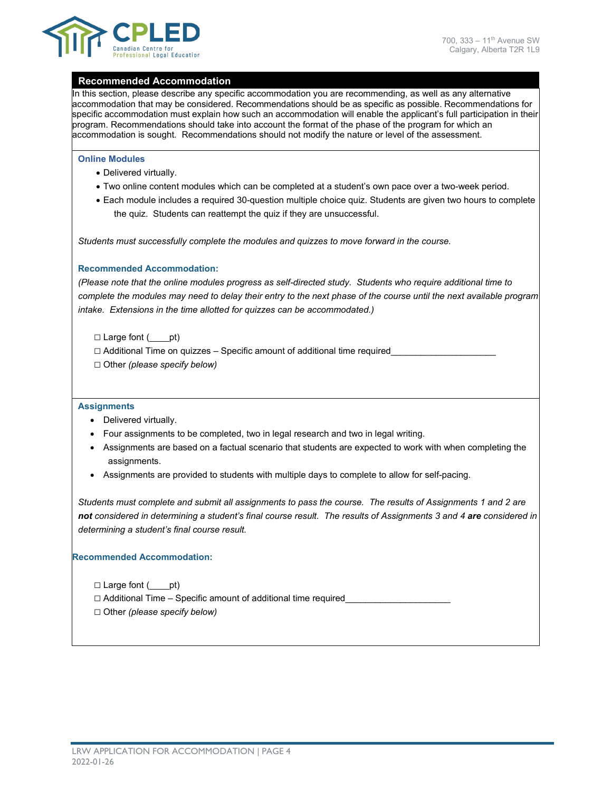

### **Recommended Accommodation**

In this section, please describe any specific accommodation you are recommending, as well as any alternative accommodation that may be considered. Recommendations should be as specific as possible. Recommendations for specific accommodation must explain how such an accommodation will enable the applicant's full participation in their program. Recommendations should take into account the format of the phase of the program for which an accommodation is sought. Recommendations should not modify the nature or level of the assessment.

#### **Online Modules**

- Delivered virtually.
- Two online content modules which can be completed at a student's own pace over a two-week period.
- Each module includes a required 30-question multiple choice quiz. Students are given two hours to complete the quiz. Students can reattempt the quiz if they are unsuccessful.

*Students must successfully complete the modules and quizzes to move forward in the course.* 

#### **Recommended Accommodation:**

*(Please note that the online modules progress as self-directed study. Students who require additional time to complete the modules may need to delay their entry to the next phase of the course until the next available program intake. Extensions in the time allotted for quizzes can be accommodated.)* 

 $\Box$  Large font ( pt)

□ Additional Time on quizzes - Specific amount of additional time required □ Other *(please specify below)*

#### **Assignments**

- Delivered virtually.
- Four assignments to be completed, two in legal research and two in legal writing.
- Assignments are based on a factual scenario that students are expected to work with when completing the assignments.
- Assignments are provided to students with multiple days to complete to allow for self-pacing.

*Students must complete and submit all assignments to pass the course. The results of Assignments 1 and 2 are not considered in determining a student's final course result. The results of Assignments 3 and 4 are considered in determining a student's final course result.*

#### **Recommended Accommodation:**

 $\Box$  Large font  $($  \_\_\_\_pt)  $\Box$  Additional Time – Specific amount of additional time required □ Other *(please specify below)*